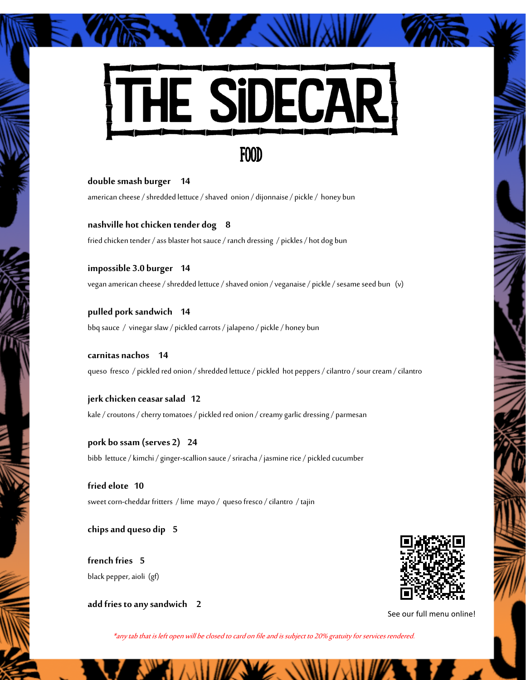

**double smash burger 14** american cheese / shredded lettuce / shaved onion / dijonnaise / pickle / honey bun

**nashville hot chicken tender dog 8** fried chicken tender / ass blaster hot sauce / ranch dressing / pickles / hot dog bun

**impossible 3.0 burger 14** vegan american cheese / shredded lettuce / shaved onion / veganaise / pickle / sesame seed bun (v)

**pulled pork sandwich 14**  bbq sauce / vinegar slaw / pickled carrots / jalapeno / pickle / honey bun

**carnitas nachos 14** queso fresco / pickled red onion / shredded lettuce / pickled hot peppers / cilantro / sour cream / cilantro

**jerk chicken ceasar salad 12** kale / croutons / cherry tomatoes / pickled red onion / creamy garlic dressing / parmesan

**pork bo ssam (serves 2) 24**  bibb lettuce / kimchi / ginger-scallion sauce / sriracha / jasmine rice / pickled cucumber

**fried elote 10** sweet corn-cheddar fritters / lime mayo / queso fresco / cilantro / tajin

**chips and queso dip 5**

**french fries 5**  black pepper, aioli (gf)

**add fries to any sandwich 2**



See our full menu online!

\*any tab that is left open will be closed to card on file and is subject to 20% gratuity for services rendered.